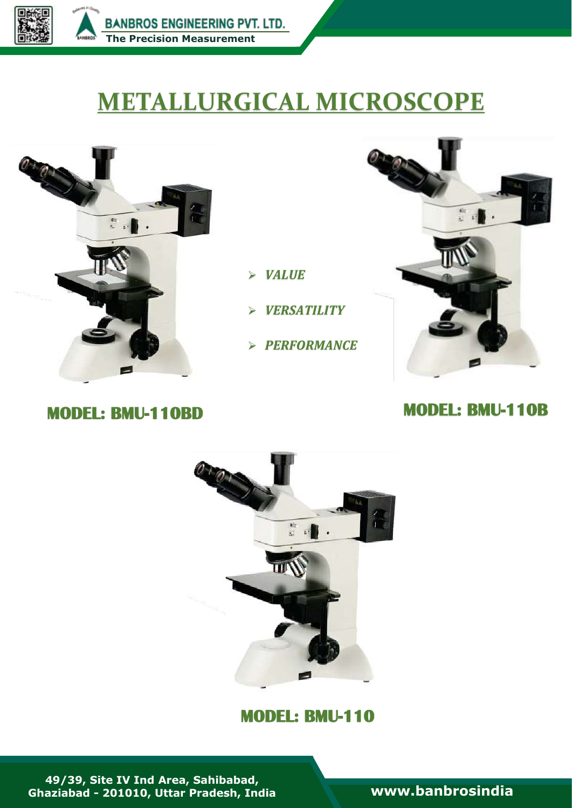

# **METALLURGICAL MICROSCOPE**



- *VALUE*
- *VERSATILITY*
- *PERFORMANCE*



# **MODEL: BMU-110BD MODEL: BMU-110B**



## **MODEL: BMU-110**

**49/39, Site IV Ind Area, Sahibabad, Ghaziabad - 201010, Uttar Pradesh, India [www.banbrosindia](file:///C:/Users/Bambros%20User/Desktop/Banbros%20Engineering%20Pvt.%20Ltd/Banbros%20Engineering%20Pvt.%20Ltd/New%20Cataloge%20PDF/My%20Own%20PDF/www.banbrosindia.com)**